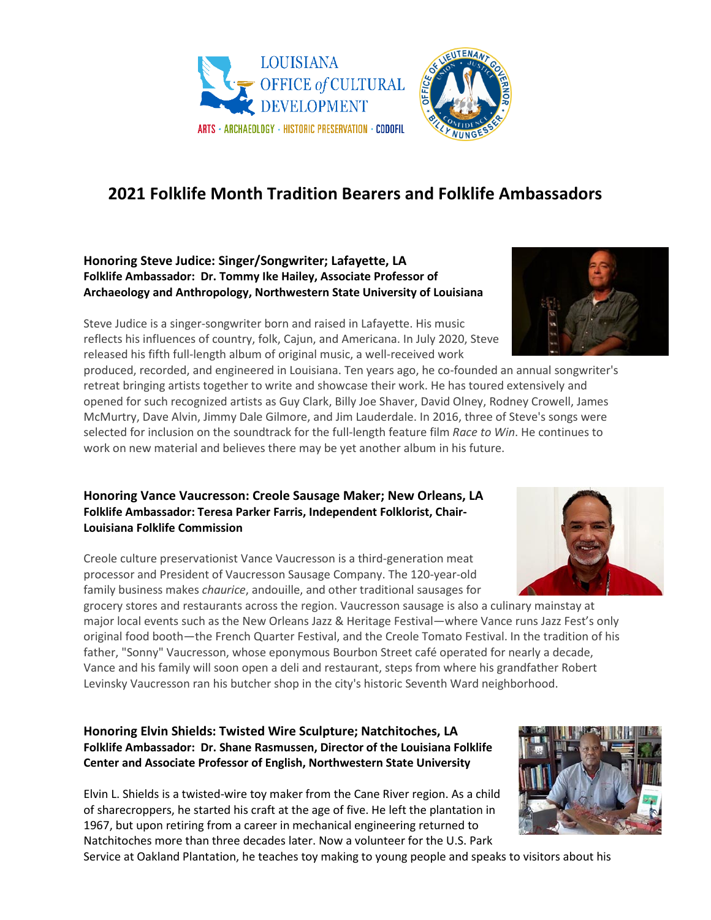

# **2021 Folklife Month Tradition Bearers and Folklife Ambassadors**

#### **Honoring Steve Judice: Singer/Songwriter; Lafayette, LA Folklife Ambassador: Dr. Tommy Ike Hailey, Associate Professor of Archaeology and Anthropology, Northwestern State University of Louisiana**

Steve Judice is a singer-songwriter born and raised in Lafayette. His music reflects his influences of country, folk, Cajun, and Americana. In July 2020, Steve released his fifth full-length album of original music, a well-received work

produced, recorded, and engineered in Louisiana. Ten years ago, he co-founded an annual songwriter's retreat bringing artists together to write and showcase their work. He has toured extensively and opened for such recognized artists as Guy Clark, Billy Joe Shaver, David Olney, Rodney Crowell, James McMurtry, Dave Alvin, Jimmy Dale Gilmore, and Jim Lauderdale. In 2016, three of Steve's songs were selected for inclusion on the soundtrack for the full-length feature film *Race to Win*. He continues to work on new material and believes there may be yet another album in his future.

### **Honoring Vance Vaucresson: Creole Sausage Maker; New Orleans, LA Folklife Ambassador: Teresa Parker Farris, Independent Folklorist, Chair-Louisiana Folklife Commission**

Creole culture preservationist Vance Vaucresson is a third-generation meat processor and President of Vaucresson Sausage Company. The 120-year-old family business makes *chaurice*, andouille, and other traditional sausages for

grocery stores and restaurants across the region. Vaucresson sausage is also a culinary mainstay at major local events such as the New Orleans Jazz & Heritage Festival—where Vance runs Jazz Fest's only original food booth—the French Quarter Festival, and the Creole Tomato Festival. In the tradition of his father, "Sonny" Vaucresson, whose eponymous Bourbon Street café operated for nearly a decade, Vance and his family will soon open a deli and restaurant, steps from where his grandfather Robert Levinsky Vaucresson ran his butcher shop in the city's historic Seventh Ward neighborhood.

## **Honoring Elvin Shields: Twisted Wire Sculpture; Natchitoches, LA Folklife Ambassador: Dr. Shane Rasmussen, Director of the Louisiana Folklife Center and Associate Professor of English, Northwestern State University**

Elvin L. Shields is a twisted-wire toy maker from the Cane River region. As a child of sharecroppers, he started his craft at the age of five. He left the plantation in 1967, but upon retiring from a career in mechanical engineering returned to Natchitoches more than three decades later. Now a volunteer for the U.S. Park

Service at Oakland Plantation, he teaches toy making to young people and speaks to visitors about his